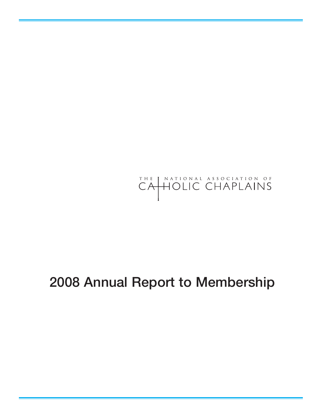

## **Annual Report to Membership**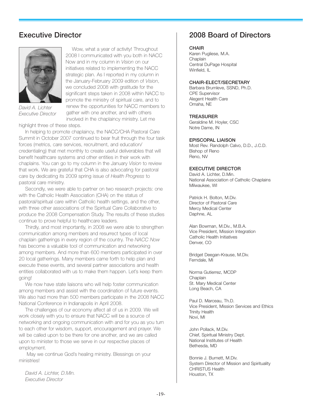#### **Executive Director**



*David A. Lichter Executive Director*

Wow, what a year of activity! Throughout 2008 I communicated with you both in NACC Now and in my column in *Vision* on our initiatives related to implementing the NACC strategic plan. As I reported in my column in the January-February 2009 edition of *Vision*, we concluded 2008 with gratitude for the significant steps taken in 2008 within NACC to promote the ministry of spiritual care, and to renew the opportunities for NACC members to gather with one another, and with others involved in the chaplaincy ministry. Let me highlight three of these steps.

In helping to promote chaplaincy, the NACC/CHA Pastoral Care Summit in October 2007 continued to bear fruit through the four task forces (metrics, care services, recruitment, and education/ credentialing) that met monthly to create useful deliverables that will benefit healthcare systems and other entities in their work with chaplains. You can go to my column in the January *Vision* to review that work. We are grateful that CHA is also advocating for pastoral care by dedicating its 2009 spring issue of *Health Progress* to pastoral care ministry.

Secondly, we were able to partner on two research projects: one with the Catholic Health Association (CHA) on the status of pastoral/spiritual care within Catholic health settings, and the other, with three other associations of the Spiritual Care Collaborative to produce the 2008 Compensation Study. The results of these studies continue to prove helpful to healthcare leaders.

Thirdly, and most importantly, in 2008 we were able to strengthen communication among members and resurrect types of local chaplain gatherings in every region of the country. The *NACC Now* has become a valuable tool of communication and networking among members. And more than 600 members participated in over 20 local gatherings. Many members came forth to help plan and execute these events, and several partner associations and health entities collaborated with us to make them happen. Let's keep them going!

We now have state liaisons who will help foster communication among members and assist with the coordination of future events. We also had more than 500 members participate in the 2008 NACC National Conference in Indianapolis in April 2008.

The challenges of our economy affect all of us in 2009. We will work closely with you to ensure that NACC will be a source of networking and ongoing communication with and for you as you turn to each other for wisdom, support, encouragement and prayer. We will be called upon to be there for one another, and we are called upon to minister to those we serve in our respective places of employment.

May we continue God's healing ministry. Blessings on your ministries!

*David A. Lichter, D.Min. Executive Director*

## **2008 Board of Directors**

#### **CHAIR**

Karen Pugliese, M.A. **Chaplain** Central DuPage Hospital Winfield, IL

#### **CHAIR-ELECT/SECRETARY**

Barbara Brumleve, SSND, Ph.D. CPE Supervisor Alegent Health Care Omaha, NE

#### **TREASURER**

Geraldine M. Hoyler, CSC Notre Dame, IN

#### **EPISCOPAL LIAISON**

Most Rev. Randolph Calvo, D.D., J.C.D. Bishop of Reno Reno, NV

#### **EXECUTIVE DIRECTOR**

David A. Lichter, D.Min. National Association of Catholic Chaplains Milwaukee, WI

Patrick H. Bolton, M.Div. Director of Pastoral Care Mercy Medical Center Daphne, AL

Alan Bowman, M.Div., M.B.A. Vice President, Mission Integration Catholic Health Initiatives Denver, CO

Bridget Deegan-Krause, M.Div. Ferndale, MI

Norma Gutierrez, MCDP **Chaplain** St. Mary Medical Center Long Beach, CA

Paul D. Marceau, Th.D. Vice President, Mission Services and Ethics Trinity Health Novi, MI

John Pollack, M.Div. Chief, Spiritual Ministry Dept. National Institutes of Health Bethesda, MD

Bonnie J. Burnett, M.Div. System Director of Mission and Spirituality CHRISTUS Health Houston, TX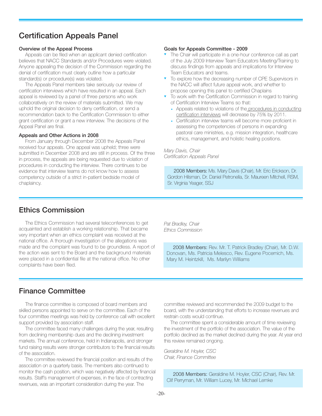## **Certification Appeals Panel**

#### **Overview of the Appeal Process**

Appeals can be filed when an applicant denied certification believes that NACC Standards and/or Procedures were violated. Anyone appealing the decision of the Commission regarding the denial of certification must clearly outline how a particular standard(s) or procedure(s) was violated.

The Appeals Panel members take seriously our review of certification interviews which have resulted in an appeal. Each appeal is reviewed by a panel of three persons who work collaboratively on the review of materials submitted. We may uphold the original decision to deny certification, or send a recommendation back to the Certification Commission to either grant certification or grant a new interview. The decisions of the Appeal Panel are final.

#### **Appeals and Other Actions in 2008**

From January through December 2008 the Appeals Panel received four appeals. One appeal was upheld; three were submitted in December 2008 and are still in process. Of the three in process, the appeals are being requested due to violation of procedures in conducting the interview. There continues to be evidence that interview teams do not know how to assess competency outside of a strict in-patient bedside model of chaplaincy.

#### **Goals for Appeals Committee - 2009**

- The Chair will participate in a one-hour conference call as part of the July 2009 Interview Team Educators Meeting/Training to discuss findings from appeals and implications for Interview Team Educators and teams.
- To explore how the decreasing number of CPE Supervisors in the NACC will affect future appeal work, and whether to propose opening this panel to certified Chaplains
- To work with the Certification Commission in regard to training of Certification Interview Teams so that:
	- Appeals related to violations of the procedures in conducting certification interviews will decrease by 75% by 2011.
	- Certification interview teams will become more proficient in assessing the competencies of persons in expanding pastoral care ministries, e.g. mission integration, healthcare ethics, management, and holistic healing positions.

#### *Mary Davis, Chair Certification Appeals Panel*

2008 Members: Ms. Mary Davis (Chair), Mr. Eric Erickson, Dr. Gordon Hilsman, Dr. Daniel Petronella, Sr. Maureen Mitchell, RSM, Sr. Virginia Yeager, SSJ

## **Ethics Commission**

The Ethics Commission had several teleconferences to get acquainted and establish a working relationship. That became very important when an ethics complaint was received at the national office. A thorough investigation of the allegations was made and the complaint was found to be groundless. A report of the action was sent to the Board and the background materials were placed in a confidential file at the national office. No other complaints have been filed.

*Pat Bradley, Chair Ethics Commission*

2008 Members: Rev. Mr. T. Patrick Bradley (Chair), Mr. D.W. Donovan, Ms. Patricia Melesco, Rev. Eugene Pocernich, Ms. Mary M. Heintzkill, Ms. Marilyn Williams

## **Finance Committee**

The finance committee is composed of board members and skilled persons appointed to serve on the committee. Each of the four committee meetings was held by conference call with excellent support provided by association staff.

The committee faced many challenges during the year, resulting from declining membership dues and the declining investment markets. The annual conference, held in Indianapolis, and stronger fund raising results were stronger contributors to the financial results of the association.

The committee reviewed the financial position and results of the association on a quarterly basis. The members also continued to monitor the cash position, which was negatively affected by financial results. Staff's management of expenses, in the face of contracting revenues, was an important consideration during the year. The

committee reviewed and recommended the 2009 budget to the board, with the understanding that efforts to increase revenues and restrain costs would continue.

The committee spent a considerable amount of time reviewing the investment of the portfolio of the association. The value of the portfolio declined as the market declined during the year. At year end this review remained ongoing.

*Geraldine M. Hoyler, CSC Chair, Finance Committee*

2008 Members: Geraldine M. Hoyler, CSC (Chair), Rev. Mr. Clif Perryman, Mr. William Lucey, Mr. Michael Lemke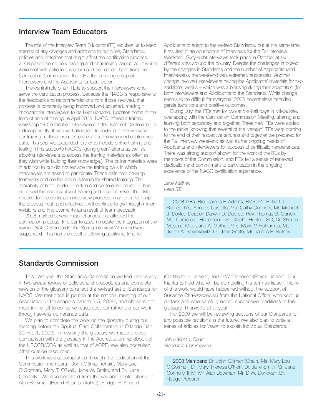#### **Interview Team Educators**

The role of the Interview Team Educator (ITE) requires us to keep abreast of any changes and additions to our rules, Standards, policies and practices that might affect the certification process. 2008 posed some new exciting and challenging issues, all of which were met with patience, wisdom and dedication, both from the Certification Commission, the ITEs, the amazing group of Interviewers and the Applicants for Certification.

The central role of an ITE is to support the Interviewers who serve the certification process. Because the NACC is responsive to the feedback and recommendations from those involved, that process is constantly being improved and adjusted, making it important for Interviewers to be kept updated. Updates come in the form of annual training. In April 2008, NACC offered a training workshop for Certification Interviewers at the National Conference in Indianapolis, IN. It was well attended. In addition to the workshop, our training method includes pre-certification weekend conference calls. This year we expanded further to include online training and testing. (This supports NACC's "going green" efforts as well as allowing interviewers to access the training materials as often as they wish while building their knowledge.) The online materials were in addition to but did not replace the training calls in which interviewers are asked to participate. These calls help develop teamwork and are the obvious forum for shared learning. The availability of both media — online and conference calling — has improved the accessibility of training and thus improved the skills needed for the certification interview process. In an effort to keep the process fresh and effective, it will continue to go through minor revisions and improvements as a result of team feedback.

2008 marked several major changes that affected the certification process. In order to accommodate the integration of the revised NACC Standards, the Spring Interview Weekend was suspended. This had the result of allowing additional time for

Applicants to adapt to the revised Standards, but at the same time, it resulted in an abundance of interviews for the Fall Interview Weekend. Sixty-eight interviews took place in October at six different sites around the country. Despite the challenges imposed by the changes in Standards and the number of Applicants (and Interviewers), the weekend was extremely successful. Another change involved Interviewers having the Applicants' materials for two additional weeks – which was a blessing during their adaptation (for both Interviewers and Applicants) to the Standards. While change seems to be difficult for everyone, 2008 nevertheless heralded gentle transitions and positive outcomes.

During July, the ITEs met for two-and-a-half days in Milwaukee, overlapping with the Certification Commission Meeting, sharing and learning both separately and together. Three new ITEs were added to the ranks (knowing that several of the 'veteran' ITEs were coming to the end of their respective tenures) and together we prepared for the Fall Interview Weekend as well as the ongoing needs of Applicants and Interviewers for successful certification experiences. There was strong support shown for the work of the ITEs by members of the Commission, and ITEs felt a sense of renewed dedication and commitment to participation in the ongoing excellence of the NACC certification experience.

#### *Jane Mather, Lead ITE*

2008 ITEs: Bro. James F. Adams, FMS, Mr. Robert J. Barnes, Ms. Annette Castello, Ms. Cathy Connelly, Mr. Michael J. Doyle, Deacon Darwin D. Dupree, Rev. Thomas B. Garlick, Ms. Camelia L. Hanemann, Sr. Colette Hanlon, SC, Dr. Sharon Mason, Mrs. Jane A. Mather, Mrs. Marie V. Polhamus, Ms. Judith A. Shemkovitz, Dr. Jane Smith, Mr. James E. Willsey

## **Standards Commission**

This past year the Standards Commission worked extensively in two areas: review of policies and procedures and complete revision of the glossary to reflect the revised set of Standards for NACC. We met once in person at the national meeting of our Association in Indianapolis (March 3-5, 2008), and chose not to meet in the fall to conserve resources, but rather did our work through several conference calls.

We plan to complete the work on the glossary during our meeting before the Spiritual Care Collaborative in Orlando (Jan 30-Feb 1, 2009). In rewriting the glossary we made a close comparison with the glossary in the Accreditation handbook of the USCCB/CCA as well as that of ACPE. We also consulted other outside resources.

This work was accomplished through the dedication of the Commission members: John Gillman (chair), Mary Lou O'Gorman, Mary T. O'Neill, Jane W. Smith, and Sr. Jane Connolly. We also benefited from the valuable contributions of Alan Bowman (Board Representative), Rodger F. Accardi

(Certification Liaison), and D.W. Donovan (Ethics Liaison). Our thanks to Rod who will be completing his term as liaison. None of this work would have happened without the support of Susanne Chawszczewski from the National Office, who kept us on task and who carefully edited successive renditions of the glossary. Thanks to all of you!

For 2009 we will be reviewing sections of our Standards for any possible revisions in the future. We also plan to write a series of articles for *Vision* to explain individual Standards.

*John Gillman, Chair Standards Commission*

2008 Members: Dr. John Gillman (Chair), Ms. Mary Lou O'Gorman, Dr. Mary Theresa O'Neill, Dr. Jane Smith, Sr. Jane Connolly, IHM, Mr. Alan Bowman, Mr. D.W. Donovan, Dr. Rodger Accardi.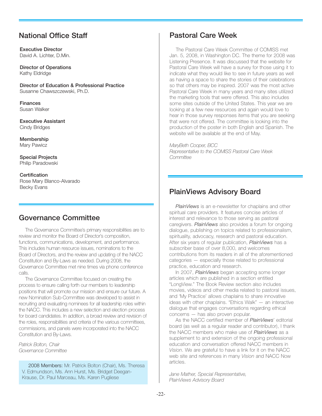## **National Office Staff**

**Executive Director** David A. Lichter, D.Min.

**Director of Operations** Kathy Eldridge

**Director of Education & Professional Practice** Susanne Chawszczewski, Ph.D.

**Finances** Susan Walker

**Executive Assistant** Cindy Bridges

**Membership** Mary Pawicz

**Special Projects** Philip Paradowski

**Certification** Rose Mary Blanco-Alvarado Becky Evans

## **Governance Committee**

The Governance Committee's primary responsibilities are to review and monitor the Board of Director's composition, functions, communications, development, and performance. This includes human resource issues, nominations to the Board of Directors, and the review and updating of the NACC Constitution and By-Laws as needed. During 2008, the Governance Committee met nine times via phone conference calls.

The Governance Committee focused on creating the process to ensure calling forth our members to leadership positions that will promote our mission and ensure our future. A new Nomination Sub-Committee was developed to assist in recruiting and evaluating nominees for all leadership roles within the NACC. This includes a new selection and election process for board candidates. In addition, a broad review and revision of the roles, responsibilities and criteria of the various committees, commissions, and panels were incorporated into the NACC Constitution and By-Laws.

*Patrick Bolton, Chair Governance Committee*

2008 Members: Mr. Patrick Bolton (Chair), Ms. Theresa V. Edmundson, Ms. Ann Hurst, Ms. Bridget Deegan-Krause, Dr. Paul Marceau, Ms. Karen Pugliese

## **Pastoral Care Week**

The Pastoral Care Week Committee of COMISS met Jan. 5, 2008, in Washington DC. The theme for 2008 was Listening Presence. It was discussed that the website for Pastoral Care Week will have a survey for those using it to indicate what they would like to see in future years as well as having a space to share the stories of their celebrations so that others may be inspired. 2007 was the most active Pastoral Care Week in many years and many sites utilized the marketing tools that were offered. This also includes some sites outside of the United States. This year we are looking at a few new resources and again would love to hear in those survey responses items that you are seeking that were not offered. The committee is looking into the production of the poster in both English and Spanish. The website will be available at the end of May.

*MaryBeth Cooper, BCC*

*Representative to the COMISS Pastoral Care Week Committee*

## **PlainViews Advisory Board**

*PlainViews* is an e-newsletter for chaplains and other spiritual care providers. It features concise articles of interest and relevance to those serving as pastoral caregivers. *PlainViews* also provides a forum for ongoing dialogue, publishing on topics related to professionalism, spirituality, advocacy, research and pastoral education. After six years of regular publication, *PlainViews* has a subscriber base of over 8,000, and welcomes contributions from its readers in all of the aforementioned categories — especially those related to professional practice, education and research.

In 2007, *PlainViews* began accepting some longer articles which are published in a section entitled "LongView." The Book Review section also includes movies, videos and other media related to pastoral issues, and 'My Practice' allows chaplains to share innovative ideas with other chaplains. "Ethics Walk" — an interactive dialogue that engages conversations regarding ethical concerns — has also proven popular.

As the NACC certified member of *PlainViews*' editorial board (as well as a regular reader and contributor), I thank the NACC members who make use of *PlainViews* as a supplement to and extension of the ongoing professional education and conversation offered NACC members in *Vision*. We are grateful to have a link for it on the NACC web site and references in many *Vision* and NACC Now articles.

*Jane Mather, Special Representative, PlainViews Advisory Board*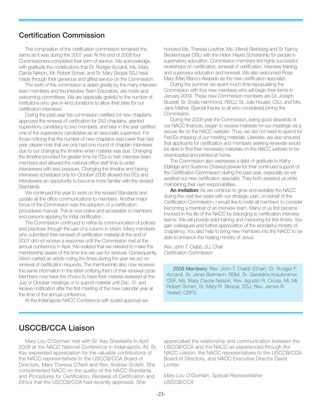#### **Certification Commission**

The composition of the certification commission remained the same as it was during the 2007 year. At the end of 2008 four Commissioners completed their term of service. We acknowledge with gratitude the contributions that Dr. Rodger Accardi, Ms. Mary Carole Nelson, Mr. Robert Scheri, and Sr. Mary Skopal SSJ have made through their generous and gifted service on the Commission.

The work of the commission is aided greatly by the many interview team members and the Interview Team Educators, site hosts and welcoming committees. We are especially grateful to the number of institutions who give in-kind donations to allow their sites for our certification interviews.

During the past year the commission certified 54 new chaplains, approved the renewal of certification for 242 chaplains, granted supervisory candidacy to two members, and later in the year certified one of the supervisory candidates as an associate supervisor. For those noticing that the number of new chaplains was lower than last year, please note that we only had one round of chaplain interviews due to our changing the timeline when material was due. Changing the timeline provided for greater time for ITEs to train interview team members and allowed the national office staff time to enlist interviewers with less pressure. Changing the timeline and having interviews scheduled only for October 2008 allowed the ITEs and interviewers an opportunity to become more familiar with the revised Standards.

We continued this year to work on the revised Standards and update all the office communications to members. Another major focus of the Commission was the adoption of a certification procedures manual. This is now online and accessible to members and persons applying for initial certification.

The Commission continued to refine its communication of policies and practices through the use of a column in *Vision*. Many members who submitted their renewal of certification material at the end of 2007 did not receive a response until the Commission met at the annual conference in April. We realized that we needed to make the membership aware of the time line we use for renewal. Consequently, *Vision* carried an article noting the times during the year we act on renewal of certification requests. The membership also now receives the same information in the letter notifying them of their renewal cycle. Members now have the choice to have their material reviewed at the July or October meetings or to submit material until Dec. 31 and receive notification after the first meeting of the new calendar year at the time of the annual conference.

At the Indianapolis NACC Conference with board approval we

honored Ms. Theresa Lowther, Ms. Wendi Steinberg and Sr. Nancy Beckenhauer OSU with the Helen Hayes Scholarship for people in supervisory education. Commission members led highly successful workshops on certification, renewal of certification, interview training, and supervisor education and renewal. We also welcomed Rose Mary (Mar) Blanco-Alvarado as the new certification specialist.

During the summer we spent much time repopulating the Commission with four new members who will begin their terms in January 2009. These new Commission members are Dr. Joseph Bozzelli, Sr. Sheila Hammond, RSCJ, Sr. Julie Houser, CSJ, and Mrs. Jane Mather. Special thanks to all who considered joining the Commission.

During the 2008 year the Commission, being good stewards of our NACC finances, began to receive materials for our meetings via a secure file on the NACC website. Thus, we did not need to spend for Fed-Ex shipping of our meeting materials. Likewise, we also ensured that applicants for certification and members seeking renewals would be able to find their necessary materials on the NACC website to be downloaded and printed at home.

The Commission also expresses a debt of gratitude to Kathy Eldridge and Susanne Chawszczewski for their continued support of the Certification Commission during the past year, especially as we awaited our new certification specialist. They both assisted us while maintaining their own responsibilities.

**An invitation:** As we continue to grow and revitalize the NACC during the next few years with our strategic plan, on behalf of the Certification Commission, I would like to invite all members to consider becoming a member of an interview team. Many of us first became involved in the life of the NACC by belonging to certification interview teams. We will provide solid training and mentoring for first-timers. You gain colleagues and further appreciation of the wonderful ministry of chaplaincy. You also help to bring new members into the NACC to be able to enhance the healing ministry of Jesus.

*Rev. John T. Crabb, SJ, Chair Certification Commission*

2008 Members: Rev. John T. Crabb (Chair), Dr. Rodger F. Accardi, Sr. Janet Bielmann, RSM, Sr. Geraldine Krautkramer, OSF, Ms. Mary Carole Nelson, Rev. Agustin R. Orosa, MI, Mr. Robert Scheri, Sr. Mary R. Skopal, SSJ, Rev. James R. Yeakel, OSFS.

## **USCCB/CCA Liaison**

Mary Lou O'Gorman met with Sr. Kay Sheskaitis in April 2008 at the NACC National Conference in Indianapolis, IN. Sr. Kay expressed appreciation for the valuable contributions of the NACC representatives to the USCCB/CCA Board of Directors, Mary Theresa O'Neill and Rev. Andrew Sioletti. She complimented NACC on the quality of the NACC Standards and Procedures for Certification, Renewal of Certification and Ethics that the USCCB/CCA had recently approved. She

appreciated the relationship and communication between the USCCB/CCA and the NACC as experienced through the NACC Liaison, the NACC representatives to the USCCB/CCA Board of Directors, and NACC Executive Director David Lichter.

*Mary Lou O'Gorman, Special Representative USCCB/CCA*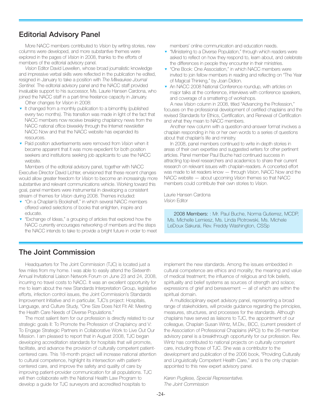## **Editorial Advisory Panel**

More NACC members contributed to *Vision* by writing stories, new columns were developed, and more substantive themes were explored in the pages of *Vision* in 2008, thanks to the efforts of members of the editorial advisory panel.

*Vision* Editor David Lewellen, whose broad journalistic knowledge and impressive verbal skills were reflected in the publication he edited, resigned in January to take a position with *The Milwaukee Journal Sentinel.* The editorial advisory panel and the NACC staff provided invaluable support to his successor, Ms. Laurie Hansen Cardona, who joined the NACC staff in a part-time freelance capacity in January.

Other changes for *Vision* in 2008:

- ▼ It changed from a monthly publication to a bimonthly (published every two months). This transition was made in light of the fact that NACC members now receive breaking chaplaincy news from the NACC national office biweekly through the Internet newsletter NACC Now and that the NACC website has expanded its resources.
- ▼ Paid position advertisements were removed from *Vision* when it became apparent that it was more expedient for both position seekers and institutions seeking job applicants to use the NACC website.

Members of the editorial advisory panel, together with NACC Executive Director David Lichter, envisioned that these recent changes would allow greater freedom for *Vision* to become an increasingly more substantive and relevant communications vehicle. Working toward this goal, panel members were instrumental in developing a consistent stream of themes for *Vision* during 2008. Themes included:

- ▼ "On a Chaplain's Bookshelf," in which several NACC members offered varied selections of books that enlighten, inspire and educate.
- ▼ "Exchange of Ideas," a grouping of articles that explored how the NACC currently encourages networking of members and the steps the NACC intends to take to provide a bright future in order to meet

members' online communication and education needs.

- ▼ "Ministering to a Diverse Population," through which readers were asked to reflect on how they respond to, learn about, and celebrate the differences in people they encounter in their ministries.
- "One Book: One Association," in which NACC members were invited to join fellow members in reading and reflecting on "The Year of Magical Thinking," by Joan Didion.
- ▼ An NACC 2008 National Conference roundup, with articles on major talks at the conference, interviews with conference speakers, and coverage of a smattering of workshops.

A new *Vision* column in 2008, titled "Advancing the Profession," focuses on the professional development of certified chaplains and the revised Standards for Ethics, Certification, and Renewal of Certification and what they mean to NACC members.

Another new column with a question-and-answer format involves a chaplain responding in his or her own words to a series of questions about that chaplain's life and ministry.

In 2008, panel members continued to write in-depth stories in areas of their own expertise and suggested writers for other pertinent articles. Panel member Paul Buche had continued success in attracting top-level researchers and academics to share their current research on relevant issues with chaplain-readers. A concerted effort was made to let readers know — through *Vision*, NACC Now and the NACC website — about upcoming *Vision* themes so that NACC members could contribute their own stories to *Vision*.

Laurie Hansen Cardona *Vision* Editor

2008 Members: : Mr. Paul Buche, Norma Gutierrez, MCDP, Ms. Michelle Lemiesz, Ms. Linda Piotrowski, Ms. Michele LeDoux Sakurai, Rev. Freddy Washington, CSSp

## **The Joint Commission**

Headquarters for The Joint Commission (TJC) is located just a few miles from my home. I was able to easily attend the Sixteenth Annual Invitational Liaison Network Forum on June 23 and 24, 2008, incurring no travel costs to NACC. It was an excellent opportunity for me to learn about the new Standards Interpretation Group, legislative efforts, infection control issues, the Joint Commission's Standards Improvement Initiative and in particular, TJC's project: Hospitals, Language, and Culture Study, "One Size Does Not Fit All: Meeting the Health Care Needs of Diverse Populations."

The most salient item for our profession is directly related to our strategic goals II: To Promote the Profession of Chaplaincy and V: To Engage Strategic Partners in Collaborative Work to Live Out Our Mission. I am pleased to report that in August 2008, TJC began developing accreditation standards for hospitals that will promote, facilitate, and advance the provision of culturally competent patientcentered care. This 18-month project will increase national attention to cultural competence, highlight its intersection with patientcentered care, and improve the safety and quality of care by improving patient-provider communication for all populations. TJC will then collaborate with the National Health Law Program to develop a guide for TJC surveyors and accredited hospitals to

implement the new standards. Among the issues embedded in cultural competence are ethics and morality; the meaning and value of medical treatment; the influence of religious and folk beliefs, spirituality and belief systems as sources of strength and solace; expressions of grief and bereavement — all of which are within the spiritual domain.

A multidisciplinary expert advisory panel, representing a broad range of stakeholders, will provide guidance regarding the principles, measures, structures, and processes for the standards. Although chaplains have served as liaisons to TJC, the appointment of our colleague, Chaplain Susan Wintz, M.Div., BCC, (current president of the Association of Professional Chaplains (APC)) to the 26-member advisory panel is a breakthrough opportunity for our profession. Rev. Wintz has contributed to national projects on culturally competent care, including those of TJC. She was a contributor to the development and publication of the 2006 book, "Providing Culturally and Linguistically Competent Health Care," and is the only chaplain appointed to this new expert advisory panel.

*Karen Pugliese, Special Representative. The Joint Commission*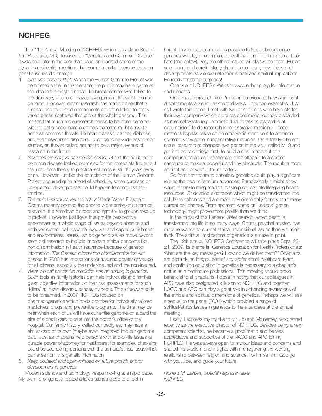## **NCHPEG**

The 11th Annual Meeting of NCHPEG, which took place Sept. 4- 5 in Bethesda, MD, focused on "Genetics and Common Disease." It was held later in the year than usual and lacked some of the dynamism of earlier meetings, but some important perspectives on genetic issues did emerge.

- 1. *One size doesn't fit all.* When the Human Genome Project was completed earlier in this decade, the public may have gamered the idea that a single disease like breast cancer was linked to the discovery of one or maybe two genes in the whole human genome. However, recent research has made it clear that a disease and its related components are often linked to many varied genes scattered throughout the whole genome. This means that much more research needs to be done genomewide to get a better handle on how genetics might serve to address common threats like heart disease, cancer, diabetes, and even psychiatric disorders. Such genome-wide association studies, as they're called, are apt to be a major avenue of research in the future.
- 2. *Solutions are not just around the corner.* At first the solutions to common disease looked promising for the immediate future; but the jump from theory to practical solutions is still 10 years away or so. However, just like the completion of the Human Genome Project occurred quite ahead of schedule, some surprises or unexpected developments could happen to condense the timeline.
- 3. *The ethical-moral issues are not unilateral.* When President Obama recently opened the door to wider embryonic stem cell research, the American bishops and right-to-life groups rose up in protest. However, just like a true pro-life perspective encompasses a whole range of issues beyond abortion and embryonic stem cell research (e.g. war and capital punishment and environmental issues), so do genetic issues move beyond stem cell research to include important ethical concerns like non-discrimination in health insurance because of genetic information. *The Genetic Information Nondiscrimination Act* passed in 2008 has implications for assuring greater coverage for all citizens, especially the under-insured and the non-insured.
- 4. *What we call preventive medicine has an analog in genetics.* Such tools as family histories can help individuals and families glean objective information on their risk assessments for such "killers" as heart disease, cancer, diabetes. To be forewarned is to be forearmed. In 2007 NCHPEG focused on pharmacogenetics which holds promise for individually tailored medicines, drugs, and preventive programs. The time may be near when each of us will have our entire genome on a card the size of a credit card to take into the doctor's office or the hospital. Our family history, called our pedigree, may have a similar card of its own (maybe even integrated into our genome card. Just as chaplains help persons with end-of-life issues (a durable power of attorney for healthcare, for example), chaplains could be counseling persons with the spiritual/ethical issues that can arise from this genetic information.
- 5. *Keep updated and open-minded on future growth and/or development in genetics.*

Modern science and technology keeps moving at a rapid pace. My own file of genetic-related articles stands close to a foot in

height. I try to read as much as possible to keep abreast since genetics will play a role in future healthcare and in other areas of our lives (see below). Yes, the ethical issues will always be there. But an open mind and careful study should accompany new ideas and developments as we evaluate their ethical and spiritual implications. Be ready for some surprises!

Check out NCHPEG's Website www.nchpeg.org for information and updates.

On a more personal note, I'm often surprised at how significant developments arise in unexpected ways. I cite two examples. Just as I wrote this report, I met with two dear friends who have started their own company which procures specimens routinely discarded as medical waste (e.g. amniotic fluid, foreskins discarded at circumcision) to do research in regenerative medicine. These methods bypass research on embryonic stem cells to advance scientific knowledge in regenerative medicine. On a totally different scale, researchers changed two genes in the virus called M13 and got it to do two things: first, to build a shell made out of a compound called iron phosphate, then attach it to a carbon nanotube to make a powerful and tiny electrode. The result: a more efficient and powerful lithium battery.

So from healthcare to batteries, genetics could play a significant role as the new millennium advances. Paradoxically it might show ways of transforming medical waste products into life-giving health resources. Or develop electrodes which might be transformed into cellular telephones and are more environmentally friendly than many current cell phones. From apparent waste or "useless" genes, technology might prove more pro-life than we think.

In the midst of this Lenten-Easter season, when death is transformed into life in so many ways, Christ's paschal mystery has more relevance to current ethical and spiritual issues than we might think. The spiritual implications of genetics is a case in point.

The 12th annual NCHPEG Conference will take place Sept. 23- 24, 2009. Its theme is "Genetics Education for Health Professionals: What are the key messages? How do we deliver them?" Chaplains are certainly an integral part of any professional healthcare team, and continuing education in genetics is necessary to a chaplain's status as a healthcare professional. This meeting should prove beneficial to all chaplains. I close in noting that our colleagues in APC have also designated a liaison to NCHPEG and together NACC and APC can play a great role in enhancing awareness of the ethical and spiritual dimensions of genetics. Perhaps we will see a sequel to the panel (2004) which provided a range of spiritual/ethics issues in genetics to the attendees at the annual meeting.

Lastly, I express my thanks to Mr. Joseph McInerney, who retired recently as the executive director of NCHPEG. Besides being a very competent scientist, he became a good friend and he was appreciative and supportive of the NACC and APC joining NCHPEG. He was always open to my/our ideas and concerns and shared his wisdom and insights with me regarding the working relationship between religion and science. I will miss him. God go with you, Joe, and guide your future.

*Richard M. Leliaert, Special Representative, NCHPEG*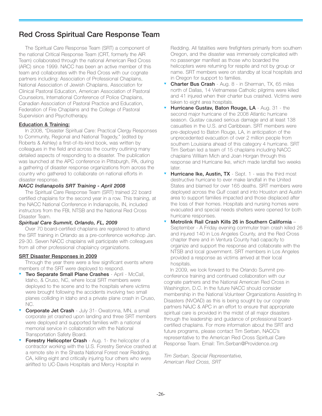## **Red Cross Spiritual Care Response Team**

The Spiritual Care Response Team (SRT) a component of the national Critical Response Team (CRT, formerly the AIR Team) collaborated through the national American Red Cross (ARC) since 1999. NACC has been an active member of this team and collaborates with the Red Cross with our cognate partners including: Association of Professional Chaplains, National Association of Jewish Chaplains, Association for Clinical Pastoral Education, American Association of Pastoral Counselors, International Conference of Police Chaplains, Canadian Association of Pastoral Practice and Education, Federation of Fire Chaplains and the College of Pastoral Supervision and Psychotherapy.

#### **Education & Training:**

In 2008, "Disaster Spiritual Care: Practical Clergy Responses to Community, Regional and National Tragedy," (edited by Roberts & Ashley) a first-of-its-kind book, was written by colleagues in the field and across the country outlining many detailed aspects of responding to a disaster. The publication was launched at the APC conference in Pittsburgh, PA, during a gathering of disaster response organizations from across the country who gathered to collaborate on national efforts in disaster response.

#### *NACC Indianapolis SRT Training - April 2008*

The Spiritual Care Response Team (SRT) trained 22 board certified chaplains for the second year in a row. This training, at the NACC National Conference in Indianapolis, IN, included instructors from the FBI, NTSB and the National Red Cross Disaster Team.

#### *Spiritual Care Summit, Orlando, FL, 2009*

Over 70 board-certified chaplains are registered to attend the SRT training in Orlando as a pre-conference workshop Jan. 29-30. Seven NACC chaplains will participate with colleagues from all other professional chaplaincy organizations.

#### **SRT Disaster Responses in 2009**

Through the year there were a few significant events where members of the SRT were deployed to respond.

- **Two Separate Small Plane Crashes** April McCall, Idaho, & Cruso, NC, where local SRT members were deployed to the scene and to the hospitals where victims were brought following the accidents involving two small planes colliding in Idaho and a private plane crash in Cruso, NC.
- **Corporate Jet Crash** July 31- Owatonna, MN, a small corporate jet crashed upon landing and three SRT members were deployed and supported families with a national memorial service in collaboration with the National Transportation Safety Board.
- **Forestry Helicopter Crash** Aug. 1- the helicopter of a contractor working with the U.S. Forestry Service crashed at a remote site in the Shasta National Forest near Redding, CA, killing eight and critically injuring four others who were airlifted to UC-Davis Hospitals and Mercy Hospital in

Redding. All fatalities were firefighters primarily from southern Oregon, and the disaster was immensely complicated with no passenger manifest as those who boarded the helicopters were returning for respite and not by group or name. SRT members were on standby at local hospitals and in Oregon for support to families.

- **Charter Bus Crash** Aug. 8 in Sherman, TX, 65 miles north of Dallas, 14 Vietnamese Catholic pilgrims were killed and 41 injured when their charter bus crashed. Victims were taken to eight area hospitals.
- **Hurricane Gustav, Baton Rouge, LA** Aug. 31 the second major hurricane of the 2008 Atlantic hurricane season. Gustav caused serious damage and at least 138 casualties in the U.S. and Caribbean. SRT members were pre-deployed to Baton Rouge, LA, in anticipation of the unprecedented evacuation of over 2 million people from southern Louisiana ahead of this category 4 hurricane. SRT Tim Serban led a team of 15 chaplains including NACC chaplains William Mich and Joan Horgan through this response and Hurricane Ike, which made landfall two weeks later.
- **Hurricane Ike, Austin, TX** Sept. 1 was the third most destructive hurricane to ever make landfall in the United States and blamed for over 165 deaths. SRT members were deployed across the Gulf coast and into Houston and Austin area to support families impacted and those displaced after the loss of their homes. Hospitals and nursing homes were evacuated and special needs shelters were opened for both hurricane responses.
- ▼ **Metrolink Rail Crash Kills 26 in Southern California** September - A Friday evening commuter train crash killed 26 and injured 140 in Los Angeles County, and the Red Cross chapter there and in Ventura County had capacity to organize and support the response and collaborate with the NTSB and local government. SRT members in Los Angeles provided a response as victims arrived at their local hospitals.

In 2009, we look forward to the Orlando Summit preconference training and continued collaboration with our cognate partners and the National American Red Cross in Washington, D.C. In the future NACC should consider membership in the National Volunteer Organizations Assisting In Disasters (NVOAD) as this is being sought by our cognate partners NAJC & APC in an effort to ensure that appropriate spiritual care is provided in the midst of all major disasters through the leadership and guidance of professional boardcertified chaplains. For more information about the SRT and future programs, please contact Tim Serban, NACC's representative to the American Red Cross Spiritual Care Response Team. Email: Tim.Serban@Providence.org

*Tim Serban, Special Representative, American Red Cross, SRT*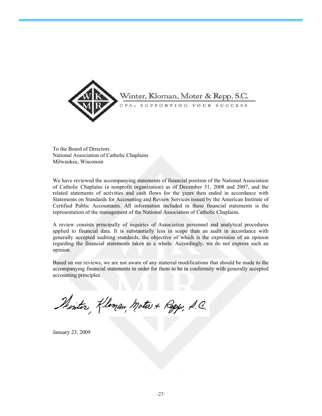

To the Board of Directors National Association of Catholic Chaplains Milwaukee, Wisconsin

We have reviewed the accompanying statements of financial position of the National Association of Catholic Chaplains (a nonprofit organization) as of December 31, 2008 and 2007, and the related statements of activities and cash flows for the years then ended in accordance with Statements on Standards for Accounting and Review Services issued by the American Institute of Certified Public Accountants. All information included in these financial statements is the representation of the management of the National Association of Catholic Chaplains.

A review consists principally of inquiries of Association personnel and analytical procedures applied to financial data. It is substantially less in scope than an audit in accordance with generally accepted auditing standards, the objective of which is the expression of an opinion regarding the financial statements taken as a whole. Accordingly, we do not express such an opinion.

Based on our reviews, we are not aware of any material modifications that should be made to the accompanying financial statements in order for them to be in conformity with generally accepted accounting principles.

Printer, Kloman, Moters & Repp, S.C.

January 23, 2009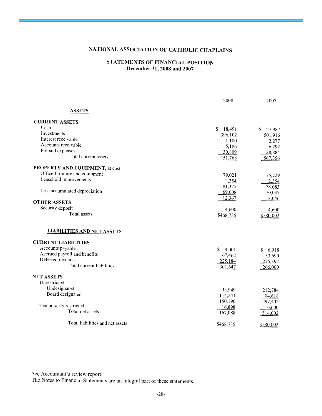## **NATIONAL ASSOCIATION OF CATHOLIC CHAPLAINS**

#### **STATEMENTS OF FINANCIAL POSITION December 31, 2008 and 2007**

|                                   | 2008          | 2007         |
|-----------------------------------|---------------|--------------|
| <b>ASSETS</b>                     |               |              |
| <b>CURRENT ASSETS</b>             |               |              |
| Cash                              | \$.<br>18,491 | S.<br>27,987 |
| Investments                       | 396,102       | 501,916      |
| Interest receivable               | 1,180         | 2,277        |
| Accounts receivable               | 5,186         | 6,292        |
| Prepaid expenses                  | 30,809        | 28,884       |
| Total current assets              | 451,768       | 567,356      |
| PROPERTY AND EQUIPMENT, at cost   |               |              |
| Office furniture and equipment    | 79,021        | 75,729       |
| Leasehold improvements            | 2,354         | 2,354        |
|                                   | 81,375        | 78,083       |
| Less accumulated depreciation     | 69,008        | 70,037       |
|                                   | 12,367        | 8,046        |
| <b>OTHER ASSETS</b>               |               |              |
| Security deposit                  | 4,600         | 4,600        |
| Total assets                      | \$468,735     | \$580,002    |
| <b>LIABILITIES AND NET ASSETS</b> |               |              |
| <b>CURRENT LIABILITIES</b>        |               |              |
| Accounts payable                  | S.<br>9,001   | \$<br>6,918  |
| Accrued payroll and benefits      | 67,462        | 33,690       |
| Deferred revenues                 | 225,184       | 225,392      |
| Total current liabilities         | 301,647       | 266,000      |
| <b>NET ASSETS</b>                 |               |              |
| Unrestricted                      |               |              |
| Undesignated                      | 35,949        | 212,784      |
| Board designated                  | 114,241       | 84,618       |
|                                   | 150,190       | 297,402      |
| Temporarily restricted            | 16,898        | 16,600       |
| Total net assets                  | 167,088       | 314,002      |
| Total liabilities and net assets  | \$468,735     | \$580,002    |

See Accountant's review report.

The Notes to Financial Statements are an integral part of these statements.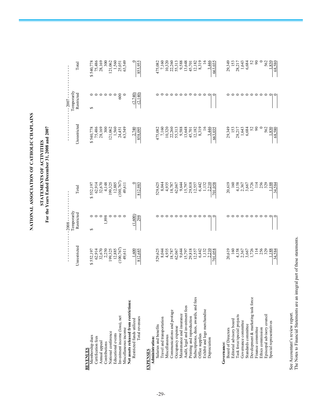NATIONAL ASSOCIATION OF CATHOLIC CHAPLAINS **NATIONAL ASSOCIATION OF CATHOLIC CHAPLAINS**

## STATEMENTS OF ACTIVITIES<br>For the Years Ended December 31, 2008 and 2007 **For the Years Ended December 31, 2008 and 2007 STATEMENTS OF ACTIVITIES**

|                                        |                                                                                                                                                    | - - - - - - 2008 -        |                                                                                                                       |                                                                                                                                   | $-2007 -$                 |                                                                                                      |
|----------------------------------------|----------------------------------------------------------------------------------------------------------------------------------------------------|---------------------------|-----------------------------------------------------------------------------------------------------------------------|-----------------------------------------------------------------------------------------------------------------------------------|---------------------------|------------------------------------------------------------------------------------------------------|
|                                        | Unrestricted                                                                                                                                       | Temporarily<br>Restricted | Total                                                                                                                 | Unrestricted                                                                                                                      | Temporarily<br>Restricted | Total                                                                                                |
| <b>REVENUES</b>                        |                                                                                                                                                    |                           |                                                                                                                       |                                                                                                                                   |                           |                                                                                                      |
| Membership dues                        |                                                                                                                                                    | 5                         |                                                                                                                       |                                                                                                                                   | $\Theta$                  |                                                                                                      |
| Certification fees                     |                                                                                                                                                    |                           |                                                                                                                       |                                                                                                                                   |                           |                                                                                                      |
| Annual appeal                          |                                                                                                                                                    |                           |                                                                                                                       |                                                                                                                                   |                           | \$540,778<br>75,486<br>28,169<br>28,169                                                              |
| Contributions                          |                                                                                                                                                    | 1,898                     |                                                                                                                       |                                                                                                                                   |                           |                                                                                                      |
| National conference                    |                                                                                                                                                    |                           |                                                                                                                       |                                                                                                                                   |                           |                                                                                                      |
| Educational events                     | $\begin{array}{c} 8\,552.197\\ 62.914\\ 62.670\\ 32.670\\ 19,325\\ 194.325\\ 12.885\\ (100,767)\\ (100,767)\\ (100,767)\\ (100,767)\\ \end{array}$ |                           | $\begin{array}{r} $552,197 \\ 62,914 \\ 32,670 \\ 199,325 \\ 199,325 \\ 12,885 \\ (100,767) \\ (100,767) \end{array}$ | $\begin{array}{r} $540,778 \\ 75,486 \\ 28,169 \\ 28,169 \\ 121,062 \\ 1,560 \\ 24,451 \\ 24,451 \\ 24,451 \\ 23,549 \end{array}$ |                           | $121,062$<br>1,560<br>25,051<br>63,549                                                               |
| Investment income (loss), net          |                                                                                                                                                    |                           |                                                                                                                       |                                                                                                                                   | 600                       |                                                                                                      |
| Miscellaneous income                   |                                                                                                                                                    |                           |                                                                                                                       |                                                                                                                                   |                           |                                                                                                      |
| Net assets released from restrictions: |                                                                                                                                                    |                           |                                                                                                                       |                                                                                                                                   |                           |                                                                                                      |
| Restricted funds utilized              | 1,600                                                                                                                                              | (1,600)                   |                                                                                                                       | 2.740                                                                                                                             | (2.740)                   |                                                                                                      |
| Total revenues                         | 812,685                                                                                                                                            | 298                       | 812,983                                                                                                               | 858,095                                                                                                                           | (2, 140)                  | 855,955                                                                                              |
| <b>EXPENSES</b>                        |                                                                                                                                                    |                           |                                                                                                                       |                                                                                                                                   |                           |                                                                                                      |
| Administration:                        |                                                                                                                                                    |                           |                                                                                                                       |                                                                                                                                   |                           |                                                                                                      |
| Salaries and benefits                  |                                                                                                                                                    |                           |                                                                                                                       |                                                                                                                                   |                           |                                                                                                      |
| Travel and transportation              |                                                                                                                                                    |                           |                                                                                                                       |                                                                                                                                   |                           |                                                                                                      |
| Miscellaneous                          |                                                                                                                                                    |                           |                                                                                                                       |                                                                                                                                   |                           |                                                                                                      |
| Communications and postage             | 529,625<br>8,044<br>8,935<br>18,787<br>62,067                                                                                                      |                           |                                                                                                                       | 475,082<br>7,160<br>7,150<br>10,320<br>10,320<br>8,313<br>5,513<br>4,5,70<br>12,182<br>8,319                                      |                           | 475,082<br>7,160<br>10,320<br>10,320<br>10,338,588<br>10,319<br>11,182<br>12,182<br>12,182<br>12,198 |
| Occupancy expense                      |                                                                                                                                                    |                           |                                                                                                                       |                                                                                                                                   |                           |                                                                                                      |
| Maintenance and insurance              |                                                                                                                                                    |                           |                                                                                                                       |                                                                                                                                   |                           |                                                                                                      |
| Audit, legal and investment fees       | $\begin{array}{r} 9,644 \\ 15,797 \\ 29,818 \\ 29,557 \\ 12,537 \\ 6,442 \\ -1,132 \\ -2,210 \\ -2,210 \\ -1,058 \end{array}$                      |                           |                                                                                                                       |                                                                                                                                   |                           |                                                                                                      |
| Printing and reproduction              |                                                                                                                                                    |                           |                                                                                                                       |                                                                                                                                   |                           |                                                                                                      |
| Subscriptions, dues, awards, and fees  |                                                                                                                                                    |                           |                                                                                                                       |                                                                                                                                   |                           |                                                                                                      |
| Office supplies                        |                                                                                                                                                    | $\circ$ $\circ$           |                                                                                                                       |                                                                                                                                   |                           |                                                                                                      |
| Exhibit and logo merchandise           |                                                                                                                                                    |                           |                                                                                                                       | $16$<br>3,446<br>663,035                                                                                                          |                           |                                                                                                      |
| Depreciation                           |                                                                                                                                                    |                           |                                                                                                                       |                                                                                                                                   |                           | 3,446                                                                                                |
|                                        |                                                                                                                                                    |                           | 701,058                                                                                                               |                                                                                                                                   |                           |                                                                                                      |
| Governance:                            |                                                                                                                                                    |                           |                                                                                                                       |                                                                                                                                   |                           |                                                                                                      |
| <b>Board of Directors</b>              | 20,619<br>160<br>11,158<br>4,158<br>4,172<br>11,14<br>13,29<br>13,29<br>13,29                                                                      |                           | 20,619                                                                                                                | 29,345<br>153<br>153,217<br>1,643<br>1,684                                                                                        |                           | 29,349                                                                                               |
| Editorial advisory board               |                                                                                                                                                    |                           |                                                                                                                       |                                                                                                                                   |                           |                                                                                                      |
| Task force/special projects            |                                                                                                                                                    |                           | $\begin{array}{c} 160 \\ 4,158 \\ 2,367 \\ 3,667 \\ 1,726 \\ 1,14 \end{array}$                                        |                                                                                                                                   |                           | $\begin{array}{c} 153 \\ 28,217 \\ 1,643 \\ 6,684 \\ 64 \\ \end{array}$                              |
| Governance committee                   |                                                                                                                                                    |                           |                                                                                                                       |                                                                                                                                   |                           |                                                                                                      |
| Standards committee                    |                                                                                                                                                    |                           |                                                                                                                       |                                                                                                                                   |                           |                                                                                                      |
| Development & marketing task force     |                                                                                                                                                    |                           |                                                                                                                       |                                                                                                                                   |                           |                                                                                                      |
| Finance committee                      |                                                                                                                                                    |                           |                                                                                                                       |                                                                                                                                   |                           |                                                                                                      |
| Ethics commission                      |                                                                                                                                                    |                           | 256                                                                                                                   |                                                                                                                                   |                           |                                                                                                      |
| Episcopal advisory council             |                                                                                                                                                    |                           | 329                                                                                                                   | 562<br>1,830                                                                                                                      |                           | 562                                                                                                  |
| Special representatives                |                                                                                                                                                    |                           |                                                                                                                       |                                                                                                                                   |                           | 1,830                                                                                                |
|                                        | 34,584                                                                                                                                             |                           | 34,584                                                                                                                | 68,580                                                                                                                            |                           | 68,580                                                                                               |

See Accountant's review report.<br>The Notes to Financial Statements are an integral part of these statements. The Notes to Financial Statements are an integral part of these statements. See Accountant's review report.